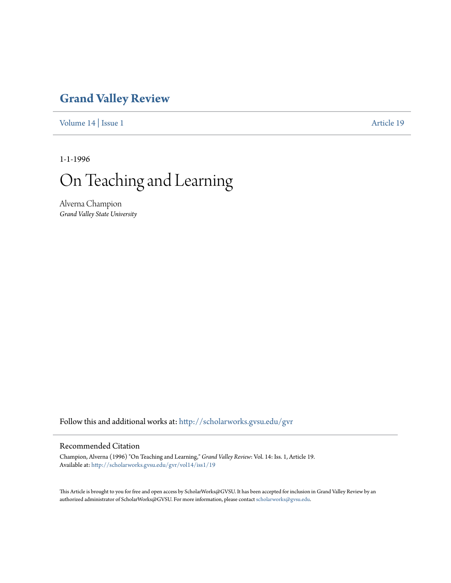## **[Grand Valley Review](http://scholarworks.gvsu.edu/gvr?utm_source=scholarworks.gvsu.edu%2Fgvr%2Fvol14%2Fiss1%2F19&utm_medium=PDF&utm_campaign=PDFCoverPages)**

[Volume 14](http://scholarworks.gvsu.edu/gvr/vol14?utm_source=scholarworks.gvsu.edu%2Fgvr%2Fvol14%2Fiss1%2F19&utm_medium=PDF&utm_campaign=PDFCoverPages) | [Issue 1](http://scholarworks.gvsu.edu/gvr/vol14/iss1?utm_source=scholarworks.gvsu.edu%2Fgvr%2Fvol14%2Fiss1%2F19&utm_medium=PDF&utm_campaign=PDFCoverPages) [Article 19](http://scholarworks.gvsu.edu/gvr/vol14/iss1/19?utm_source=scholarworks.gvsu.edu%2Fgvr%2Fvol14%2Fiss1%2F19&utm_medium=PDF&utm_campaign=PDFCoverPages)

1-1-1996

# On Teaching and Learning

Alverna Champion *Grand Valley State University*

Follow this and additional works at: [http://scholarworks.gvsu.edu/gvr](http://scholarworks.gvsu.edu/gvr?utm_source=scholarworks.gvsu.edu%2Fgvr%2Fvol14%2Fiss1%2F19&utm_medium=PDF&utm_campaign=PDFCoverPages)

#### Recommended Citation

Champion, Alverna (1996) "On Teaching and Learning," *Grand Valley Review*: Vol. 14: Iss. 1, Article 19. Available at: [http://scholarworks.gvsu.edu/gvr/vol14/iss1/19](http://scholarworks.gvsu.edu/gvr/vol14/iss1/19?utm_source=scholarworks.gvsu.edu%2Fgvr%2Fvol14%2Fiss1%2F19&utm_medium=PDF&utm_campaign=PDFCoverPages)

This Article is brought to you for free and open access by ScholarWorks@GVSU. It has been accepted for inclusion in Grand Valley Review by an authorized administrator of ScholarWorks@GVSU. For more information, please contact [scholarworks@gvsu.edu.](mailto:scholarworks@gvsu.edu)